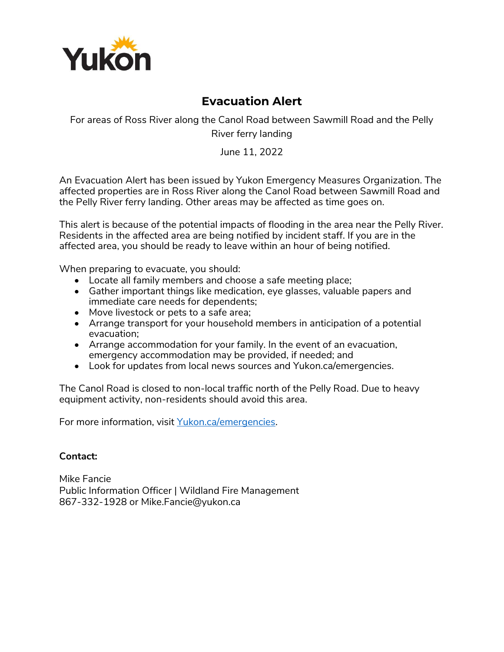

## **Evacuation Alert**

For areas of Ross River along the Canol Road between Sawmill Road and the Pelly River ferry landing

June 11, 2022

An Evacuation Alert has been issued by Yukon Emergency Measures Organization. The affected properties are in Ross River along the Canol Road between Sawmill Road and the Pelly River ferry landing. Other areas may be affected as time goes on.

This alert is because of the potential impacts of flooding in the area near the Pelly River. Residents in the affected area are being notified by incident staff. If you are in the affected area, you should be ready to leave within an hour of being notified.

When preparing to evacuate, you should:

- Locate all family members and choose a safe meeting place;
- Gather important things like medication, eye glasses, valuable papers and immediate care needs for dependents;
- Move livestock or pets to a safe area;
- Arrange transport for your household members in anticipation of a potential evacuation;
- Arrange accommodation for your family. In the event of an evacuation, emergency accommodation may be provided, if needed; and
- Look for updates from local news sources and Yukon.ca/emergencies.

The Canol Road is closed to non-local traffic north of the Pelly Road. Due to heavy equipment activity, non-residents should avoid this area.

For more information, visit [Yukon.ca/emergencies.](https://yukon.ca/en/emergencies)

## **Contact:**

Mike Fancie Public Information Officer | Wildland Fire Management 867-332-1928 or Mike.Fancie@yukon.ca